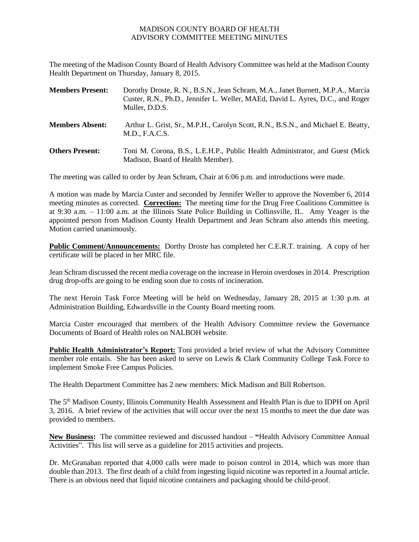## MADISON COUNTY BOARD OF HEALTH ADVISORY COMMITTEE MEETING MINUTES

The meeting of the Madison County Board of Health Advisory Committee was held at the Madison County Health Department on Thursday, January 8, 2015.

| <b>Members Present:</b> | Dorothy Droste, R. N., B.S.N., Jean Schram, M.A., Janet Burnett, M.P.A., Marcia<br>Custer, R.N., Ph.D., Jennifer L. Weller, MAEd, David L. Ayres, D.C., and Roger<br>Muller, D.D.S. |
|-------------------------|-------------------------------------------------------------------------------------------------------------------------------------------------------------------------------------|
| <b>Members Absent:</b>  | Arthur L. Grist, Sr., M.P.H., Carolyn Scott, R.N., B.S.N., and Michael E. Beatty,<br>M.D., F.A.C.S.                                                                                 |
| <b>Others Present:</b>  | Toni M. Corona, B.S., L.E.H.P., Public Health Administrator, and Guest (Mick)<br>Madison, Board of Health Member).                                                                  |

The meeting was called to order by Jean Schram, Chair at 6:06 p.m. and introductions were made.

A motion was made by Marcia Custer and seconded by Jennifer Weller to approve the November 6, 2014 meeting minutes as corrected. **Correction:** The meeting time for the Drug Free Coalitions Committee is at 9:30 a.m. – 11:00 a.m. at the Illinois State Police Building in Collinsville, IL. Amy Yeager is the appointed person from Madison County Health Department and Jean Schram also attends this meeting. Motion carried unanimously.

**Public Comment/Announcements:** Dorthy Droste has completed her C.E.R.T. training. A copy of her certificate will be placed in her MRC file.

Jean Schram discussed the recent media coverage on the increase in Heroin overdoses in 2014. Prescription drug drop-offs are going to be ending soon due to costs of incineration.

The next Heroin Task Force Meeting will be held on Wednesday, January 28, 2015 at 1:30 p.m. at Administration Building, Edwardsville in the County Board meeting room.

Marcia Custer encouraged that members of the Health Advisory Committee review the Governance Documents of Board of Health roles on NALBOH website.

**Public Health Administrator's Report:** Toni provided a brief review of what the Advisory Committee member role entails. She has been asked to serve on Lewis & Clark Community College Task Force to implement Smoke Free Campus Policies.

The Health Department Committee has 2 new members: Mick Madison and Bill Robertson.

The 5th Madison County, Illinois Community Health Assessment and Health Plan is due to IDPH on April 3, 2016. A brief review of the activities that will occur over the next 15 months to meet the due date was provided to members.

**New Business:** The committee reviewed and discussed handout – **"**Health Advisory Committee Annual Activities". This list will serve as a guideline for 2015 activities and projects.

Dr. McGranahan reported that 4,000 calls were made to poison control in 2014, which was more than double than 2013. The first death of a child from ingesting liquid nicotine was reported in a Journal article. There is an obvious need that liquid nicotine containers and packaging should be child-proof.